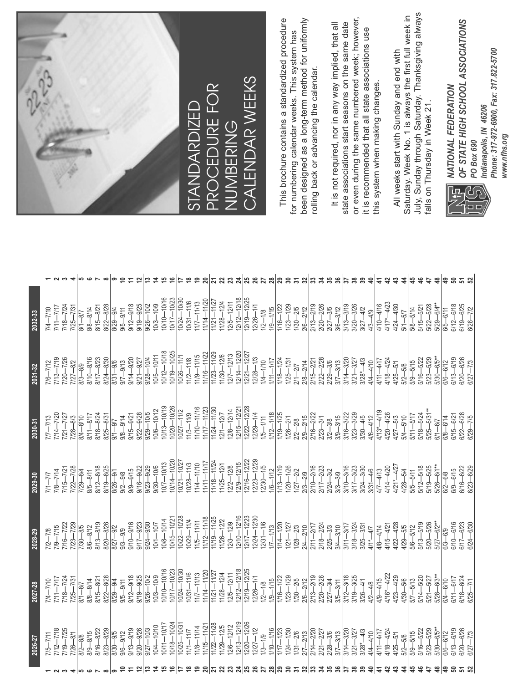| 2026-27 | 2027-28 | 2028-29 | 2029-30 | 2030-31 | 2031-32 | 2032-33 |  |
|---------|---------|---------|---------|---------|---------|---------|--|
|         |         |         |         |         |         |         |  |
|         |         |         |         |         |         |         |  |
|         |         |         |         |         |         |         |  |
|         |         |         |         |         |         |         |  |
|         |         |         |         |         |         |         |  |
|         |         |         |         |         |         |         |  |
|         |         |         |         |         |         |         |  |
|         |         |         |         |         |         |         |  |
|         |         |         |         |         |         |         |  |
|         |         |         |         |         |         |         |  |
|         |         |         |         |         |         |         |  |
|         |         |         |         |         |         |         |  |
|         |         |         |         |         |         |         |  |
|         |         |         |         |         |         |         |  |
|         |         |         |         |         |         |         |  |
|         |         |         |         |         |         |         |  |
|         |         |         |         |         |         |         |  |
|         |         |         |         |         |         |         |  |
|         |         |         |         |         |         |         |  |
|         |         |         |         |         |         |         |  |
|         |         |         |         |         |         |         |  |
|         |         |         |         |         |         |         |  |
|         |         |         |         |         |         |         |  |
|         |         |         |         |         |         |         |  |
|         |         |         |         |         |         |         |  |
|         |         |         |         |         |         |         |  |
|         |         |         |         |         |         |         |  |
|         |         |         |         |         |         |         |  |
|         |         |         |         |         |         |         |  |
|         |         |         |         |         |         |         |  |
|         |         |         |         |         |         |         |  |
|         |         |         |         |         |         |         |  |
|         |         |         |         |         |         |         |  |
|         |         |         |         |         |         |         |  |
|         |         |         |         |         |         |         |  |
|         |         |         |         |         |         |         |  |
|         |         |         |         |         |         |         |  |
|         |         |         |         |         |         |         |  |
|         |         |         |         |         |         |         |  |
|         |         |         |         |         |         |         |  |
|         |         |         |         |         |         |         |  |
|         |         |         |         |         |         |         |  |
|         |         |         |         |         |         |         |  |
|         |         |         |         |         |         |         |  |
|         |         |         |         |         |         |         |  |
|         |         |         |         |         |         |         |  |
|         |         |         |         |         |         |         |  |
|         |         |         |         |         |         |         |  |
|         |         |         |         |         |         |         |  |
|         |         |         |         |         |         |         |  |



STANDARDIZED PROCEDURE FOR NUMBERING<br>CALENDAR WEEKS CALENDAR WEEKS This brochure contains a standardized procedure been designed as a long-term method for uniformly This brochure contains a standardized procedure been designed as a long-term method for uniformly for numbering calendar weeks. This system has for numbering calendar weeks. This system has rolling back or advancing the calendar. rolling back or advancing the calendar.

or even during the same numbered week; however, or even during the same numbered week; however, state associations start seasons on the same date It is not required, nor in any way implied, that all It is not required, nor in any way implied, that all state associations start seasons on the same date it is recommended that all state associations use it is recommended that all state associations use this system when making changes. this system when making changes.

July, Sunday through Saturday. Thanksgiving always July, Sunday through Saturday. Thanksgiving always Saturday. Week No. 1 is always the first full week in Saturday. Week No. 1 is always the first full week in All weeks start with Sunday and end with All weeks start with Sunday and end with falls on Thursday in Week 21. falls on Thursday in Week 21.



OF STATE HIGH SCHOOL ASSOCIATIONS *OF STATE HIGH SCHOOL ASSOCIATIONS* Phone: 317-972-6900, Fax: 317.822-5700 *Phone: 317-972-6900, Fax: 317.822-5700 NATIONAL FEDERATION PO Box 690 Indianapolis, IN 46206 www.nfhs.org*